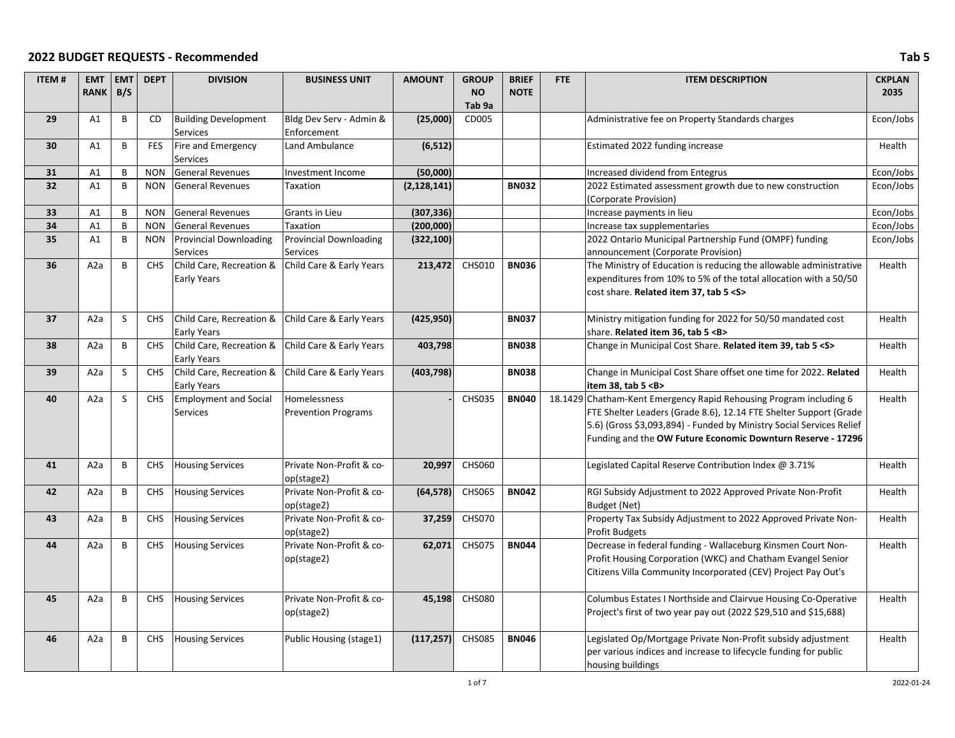| <b>ITEM#</b> | <b>EMT</b>       | <b>EMT</b>   | <b>DEPT</b> | <b>DIVISION</b>                                   | <b>BUSINESS UNIT</b>          | <b>AMOUNT</b> | <b>GROUP</b>  | <b>BRIEF</b> | FTE | <b>ITEM DESCRIPTION</b>                                              | <b>CKPLAN</b> |
|--------------|------------------|--------------|-------------|---------------------------------------------------|-------------------------------|---------------|---------------|--------------|-----|----------------------------------------------------------------------|---------------|
|              | <b>RANK</b>      | B/S          |             |                                                   |                               |               | <b>NO</b>     | <b>NOTE</b>  |     |                                                                      | 2035          |
|              |                  |              |             |                                                   |                               |               | Tab 9a        |              |     |                                                                      |               |
| 29           | A1               | B            | <b>CD</b>   | <b>Building Development</b>                       | Bldg Dev Serv - Admin &       | (25,000)      | CD005         |              |     | Administrative fee on Property Standards charges                     | Econ/Jobs     |
|              |                  |              |             | Services                                          | Enforcement                   |               |               |              |     |                                                                      |               |
| 30           | A1               | B            | <b>FES</b>  | Fire and Emergency                                | Land Ambulance                | (6, 512)      |               |              |     | Estimated 2022 funding increase                                      | Health        |
|              |                  |              |             | Services                                          |                               |               |               |              |     |                                                                      |               |
| 31           | A1               | B            | <b>NON</b>  | <b>General Revenues</b>                           | Investment Income             | (50,000)      |               |              |     | Increased dividend from Entegrus                                     | Econ/Jobs     |
| 32           | A1               | $\sf B$      | <b>NON</b>  | <b>General Revenues</b>                           | Taxation                      | (2, 128, 141) |               | <b>BN032</b> |     | 2022 Estimated assessment growth due to new construction             | Econ/Jobs     |
|              |                  |              |             |                                                   |                               |               |               |              |     | (Corporate Provision)                                                |               |
| 33           | A1               | B            | <b>NON</b>  | <b>General Revenues</b>                           | Grants in Lieu                | (307, 336)    |               |              |     | Increase payments in lieu                                            | Econ/Jobs     |
| 34           | A1               | B            | <b>NON</b>  | <b>General Revenues</b>                           | Taxation                      | (200,000)     |               |              |     | Increase tax supplementaries                                         | Econ/Jobs     |
| 35           | A1               | B            | <b>NON</b>  | Provincial Downloading                            | <b>Provincial Downloading</b> | (322, 100)    |               |              |     | 2022 Ontario Municipal Partnership Fund (OMPF) funding               | Econ/Jobs     |
|              |                  |              |             | Services                                          | Services                      |               |               |              |     | announcement (Corporate Provision)                                   |               |
| 36           | A <sub>2</sub> a | B            | <b>CHS</b>  | Child Care, Recreation &                          | Child Care & Early Years      | 213,472       | <b>CHS010</b> | <b>BN036</b> |     | The Ministry of Education is reducing the allowable administrative   | Health        |
|              |                  |              |             | Early Years                                       |                               |               |               |              |     | expenditures from 10% to 5% of the total allocation with a 50/50     |               |
|              |                  |              |             |                                                   |                               |               |               |              |     | cost share. Related item 37, tab 5 <s></s>                           |               |
|              |                  |              |             |                                                   |                               |               |               |              |     |                                                                      |               |
| 37           | A <sub>2</sub> a | S            | <b>CHS</b>  | Child Care, Recreation & Child Care & Early Years |                               | (425, 950)    |               | <b>BN037</b> |     | Ministry mitigation funding for 2022 for 50/50 mandated cost         | Health        |
|              |                  |              |             | Early Years                                       |                               |               |               |              |     | share. Related item 36, tab 5 <b></b>                                |               |
| 38           | A <sub>2</sub> a | $\sf B$      | <b>CHS</b>  | Child Care, Recreation &                          | Child Care & Early Years      | 403,798       |               | <b>BN038</b> |     | Change in Municipal Cost Share. Related item 39, tab 5 <s></s>       | Health        |
|              |                  |              |             | Early Years                                       |                               |               |               |              |     |                                                                      |               |
| 39           | A <sub>2</sub> a | $\sf S$      | <b>CHS</b>  | Child Care, Recreation &                          | Child Care & Early Years      | (403, 798)    |               | <b>BN038</b> |     | Change in Municipal Cost Share offset one time for 2022. Related     | Health        |
|              |                  |              |             | Early Years                                       |                               |               |               |              |     | item 38, tab 5 <b></b>                                               |               |
| 40           | A2a              | S            | <b>CHS</b>  | <b>Employment and Social</b>                      | <b>Homelessness</b>           |               | <b>CHS035</b> | <b>BN040</b> |     | 18.1429 Chatham-Kent Emergency Rapid Rehousing Program including 6   | Health        |
|              |                  |              |             | Services                                          | <b>Prevention Programs</b>    |               |               |              |     | FTE Shelter Leaders (Grade 8.6), 12.14 FTE Shelter Support (Grade    |               |
|              |                  |              |             |                                                   |                               |               |               |              |     | 5.6) (Gross \$3,093,894) - Funded by Ministry Social Services Relief |               |
|              |                  |              |             |                                                   |                               |               |               |              |     | Funding and the OW Future Economic Downturn Reserve - 17296          |               |
|              |                  |              |             |                                                   |                               |               |               |              |     |                                                                      |               |
| 41           | A2a              | $\sf B$      | <b>CHS</b>  | <b>Housing Services</b>                           | Private Non-Profit & co-      | 20,997        | <b>CHS060</b> |              |     | Legislated Capital Reserve Contribution Index @ 3.71%                | Health        |
|              |                  |              |             |                                                   | op(stage2)                    |               |               |              |     |                                                                      |               |
| 42           | A <sub>2</sub> a | $\, {\bf B}$ | <b>CHS</b>  | <b>Housing Services</b>                           | Private Non-Profit & co-      | (64, 578)     | <b>CHS065</b> | <b>BN042</b> |     | RGI Subsidy Adjustment to 2022 Approved Private Non-Profit           | Health        |
|              |                  |              |             |                                                   | op(stage2)                    |               |               |              |     | Budget (Net)                                                         |               |
| 43           | A <sub>2</sub> a | B            | <b>CHS</b>  | <b>Housing Services</b>                           | Private Non-Profit & co-      | 37,259        | <b>CHS070</b> |              |     | Property Tax Subsidy Adjustment to 2022 Approved Private Non-        | Health        |
|              |                  |              |             |                                                   | op(stage2)                    |               |               |              |     | <b>Profit Budgets</b>                                                |               |
| 44           | A <sub>2</sub> a | B            | <b>CHS</b>  | <b>Housing Services</b>                           | Private Non-Profit & co-      | 62,071        | <b>CHS075</b> | <b>BN044</b> |     | Decrease in federal funding - Wallaceburg Kinsmen Court Non-         | Health        |
|              |                  |              |             |                                                   | op(stage2)                    |               |               |              |     | Profit Housing Corporation (WKC) and Chatham Evangel Senior          |               |
|              |                  |              |             |                                                   |                               |               |               |              |     | Citizens Villa Community Incorporated (CEV) Project Pay Out's        |               |
|              |                  |              |             |                                                   |                               |               |               |              |     |                                                                      |               |
| 45           | A <sub>2</sub> a | B            | <b>CHS</b>  | <b>Housing Services</b>                           | Private Non-Profit & co-      | 45,198        | <b>CHS080</b> |              |     | Columbus Estates I Northside and Clairvue Housing Co-Operative       | Health        |
|              |                  |              |             |                                                   | op(stage2)                    |               |               |              |     | Project's first of two year pay out (2022 \$29,510 and \$15,688)     |               |
|              |                  |              |             |                                                   |                               |               |               |              |     |                                                                      |               |
| 46           | A <sub>2</sub> a | B            | <b>CHS</b>  | <b>Housing Services</b>                           | Public Housing (stage1)       | (117, 257)    | <b>CHS085</b> | <b>BN046</b> |     | Legislated Op/Mortgage Private Non-Profit subsidy adjustment         | Health        |
|              |                  |              |             |                                                   |                               |               |               |              |     | per various indices and increase to lifecycle funding for public     |               |
|              |                  |              |             |                                                   |                               |               |               |              |     | housing buildings                                                    |               |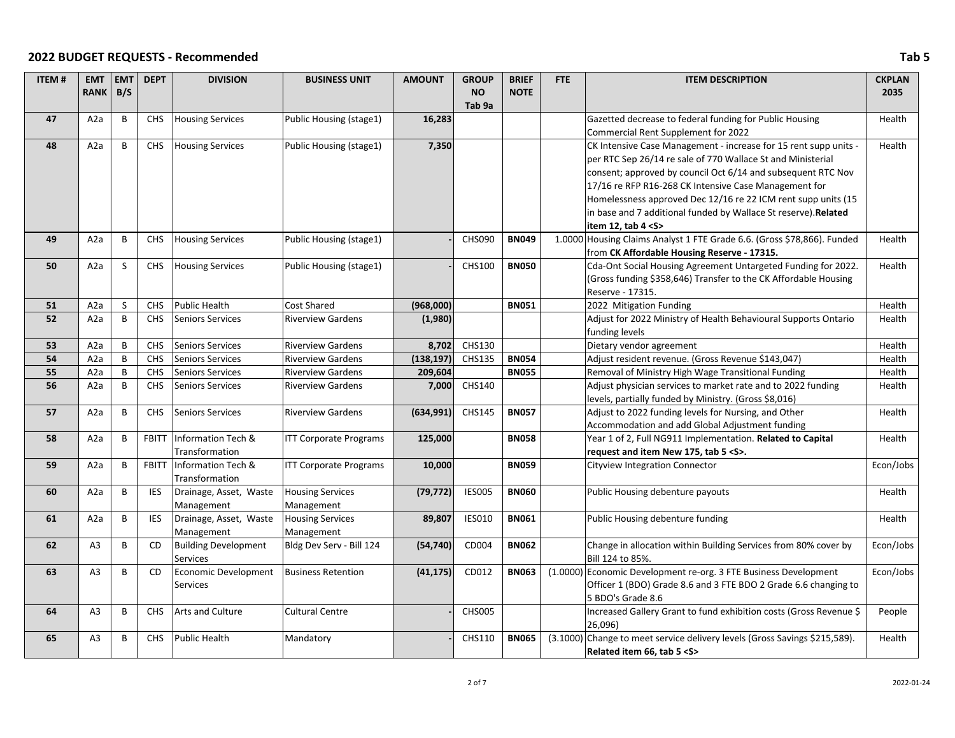| <b>ITEM#</b> | <b>EMT</b>       | <b>EMT</b> | <b>DEPT</b>  | <b>DIVISION</b>                         | <b>BUSINESS UNIT</b>          | <b>AMOUNT</b> | <b>GROUP</b>  | <b>BRIEF</b> | <b>FTE</b> | <b>ITEM DESCRIPTION</b>                                                                                       | <b>CKPLAN</b> |
|--------------|------------------|------------|--------------|-----------------------------------------|-------------------------------|---------------|---------------|--------------|------------|---------------------------------------------------------------------------------------------------------------|---------------|
|              | <b>RANK</b>      | B/S        |              |                                         |                               |               | <b>NO</b>     | <b>NOTE</b>  |            |                                                                                                               | 2035          |
| 47           | A <sub>2</sub> a | B          | <b>CHS</b>   | <b>Housing Services</b>                 | Public Housing (stage1)       | 16,283        | Tab 9a        |              |            | Gazetted decrease to federal funding for Public Housing                                                       | Health        |
|              |                  |            |              |                                         |                               |               |               |              |            | Commercial Rent Supplement for 2022                                                                           |               |
| 48           | A2a              | B          | CHS          | <b>Housing Services</b>                 | Public Housing (stage1)       | 7,350         |               |              |            | CK Intensive Case Management - increase for 15 rent supp units -                                              | Health        |
|              |                  |            |              |                                         |                               |               |               |              |            | per RTC Sep 26/14 re sale of 770 Wallace St and Ministerial                                                   |               |
|              |                  |            |              |                                         |                               |               |               |              |            | consent; approved by council Oct 6/14 and subsequent RTC Nov                                                  |               |
|              |                  |            |              |                                         |                               |               |               |              |            | 17/16 re RFP R16-268 CK Intensive Case Management for                                                         |               |
|              |                  |            |              |                                         |                               |               |               |              |            | Homelessness approved Dec 12/16 re 22 ICM rent supp units (15                                                 |               |
|              |                  |            |              |                                         |                               |               |               |              |            | in base and 7 additional funded by Wallace St reserve). Related                                               |               |
|              |                  |            |              |                                         |                               |               |               |              |            | item 12, tab $4 < S$                                                                                          |               |
| 49           | A <sub>2</sub> a | B          | CHS          | <b>Housing Services</b>                 | Public Housing (stage1)       |               | <b>CHS090</b> | <b>BN049</b> |            | 1.0000 Housing Claims Analyst 1 FTE Grade 6.6. (Gross \$78,866). Funded                                       | Health        |
|              |                  |            |              |                                         |                               |               |               |              |            | from CK Affordable Housing Reserve - 17315.                                                                   |               |
| 50           | A <sub>2</sub> a | S          | CHS          | <b>Housing Services</b>                 | Public Housing (stage1)       |               | CHS100        | <b>BN050</b> |            | Cda-Ont Social Housing Agreement Untargeted Funding for 2022.                                                 | Health        |
|              |                  |            |              |                                         |                               |               |               |              |            | (Gross funding \$358,646) Transfer to the CK Affordable Housing                                               |               |
| 51           | A <sub>2</sub> a | S          | CHS          | Public Health                           | <b>Cost Shared</b>            | (968,000)     |               | <b>BN051</b> |            | Reserve - 17315.<br>2022 Mitigation Funding                                                                   | Health        |
| 52           | A <sub>2</sub> a | B          | CHS          | <b>Seniors Services</b>                 | <b>Riverview Gardens</b>      | (1,980)       |               |              |            | Adjust for 2022 Ministry of Health Behavioural Supports Ontario                                               | Health        |
|              |                  |            |              |                                         |                               |               |               |              |            | funding levels                                                                                                |               |
| 53           | A <sub>2</sub> a | B          | <b>CHS</b>   | Seniors Services                        | <b>Riverview Gardens</b>      | 8,702         | CHS130        |              |            | Dietary vendor agreement                                                                                      | Health        |
| 54           | A <sub>2</sub> a | B          | CHS          | <b>Seniors Services</b>                 | <b>Riverview Gardens</b>      | (138, 197)    | CHS135        | <b>BN054</b> |            | Adjust resident revenue. (Gross Revenue \$143,047)                                                            | Health        |
| 55           | A <sub>2</sub> a | B          | <b>CHS</b>   | Seniors Services                        | <b>Riverview Gardens</b>      | 209,604       |               | <b>BN055</b> |            | Removal of Ministry High Wage Transitional Funding                                                            | Health        |
| 56           | A2a              | B          | <b>CHS</b>   | <b>Seniors Services</b>                 | <b>Riverview Gardens</b>      | 7,000         | CHS140        |              |            | Adjust physician services to market rate and to 2022 funding                                                  | Health        |
|              |                  |            |              |                                         |                               |               |               |              |            | levels, partially funded by Ministry. (Gross \$8,016)                                                         |               |
| 57           | A <sub>2</sub> a | B          | CHS          | <b>Seniors Services</b>                 | <b>Riverview Gardens</b>      | (634,991)     | <b>CHS145</b> | <b>BN057</b> |            | Adjust to 2022 funding levels for Nursing, and Other                                                          | Health        |
|              | A <sub>2</sub> a | B          | <b>FBITT</b> | <b>Information Tech &amp;</b>           | <b>ITT Corporate Programs</b> |               |               | <b>BN058</b> |            | Accommodation and add Global Adjustment funding<br>Year 1 of 2, Full NG911 Implementation. Related to Capital | Health        |
| 58           |                  |            |              | Transformation                          |                               | 125,000       |               |              |            | request and item New 175, tab 5 < S>.                                                                         |               |
| 59           | A <sub>2</sub> a | В          | <b>FBITT</b> | Information Tech &                      | <b>ITT Corporate Programs</b> | 10,000        |               | <b>BN059</b> |            | Cityview Integration Connector                                                                                | Econ/Jobs     |
|              |                  |            |              | Transformation                          |                               |               |               |              |            |                                                                                                               |               |
| 60           | A <sub>2</sub> a | B          | <b>IES</b>   | Drainage, Asset, Waste                  | <b>Housing Services</b>       | (79, 772)     | <b>IES005</b> | <b>BN060</b> |            | Public Housing debenture payouts                                                                              | Health        |
|              |                  |            |              | Management                              | Management                    |               |               |              |            |                                                                                                               |               |
| 61           | A2a              | B          | <b>IES</b>   | Drainage, Asset, Waste                  | <b>Housing Services</b>       | 89,807        | <b>IES010</b> | <b>BN061</b> |            | Public Housing debenture funding                                                                              | Health        |
|              |                  |            |              | Management                              | Management                    |               |               |              |            |                                                                                                               |               |
| 62           | A <sub>3</sub>   | B          | CD           | <b>Building Development</b><br>Services | Bldg Dev Serv - Bill 124      | (54, 740)     | CD004         | <b>BN062</b> |            | Change in allocation within Building Services from 80% cover by<br>Bill 124 to 85%.                           | Econ/Jobs     |
| 63           | A <sub>3</sub>   | B          | CD           | Economic Development                    | <b>Business Retention</b>     | (41, 175)     | CD012         | <b>BN063</b> |            | (1.0000) Economic Development re-org. 3 FTE Business Development                                              | Econ/Jobs     |
|              |                  |            |              | Services                                |                               |               |               |              |            | Officer 1 (BDO) Grade 8.6 and 3 FTE BDO 2 Grade 6.6 changing to                                               |               |
|              |                  |            |              |                                         |                               |               |               |              |            | 5 BDO's Grade 8.6                                                                                             |               |
| 64           | A <sub>3</sub>   | B          | <b>CHS</b>   | Arts and Culture                        | <b>Cultural Centre</b>        |               | <b>CHS005</b> |              |            | Increased Gallery Grant to fund exhibition costs (Gross Revenue \$                                            | People        |
| 65           | A <sub>3</sub>   | B          | CHS          | <b>Public Health</b>                    |                               |               | CHS110        | <b>BN065</b> |            | 26,096)<br>(3.1000) Change to meet service delivery levels (Gross Savings \$215,589).                         |               |
|              |                  |            |              |                                         | Mandatory                     |               |               |              |            | Related item 66, tab 5 < S>                                                                                   | Health        |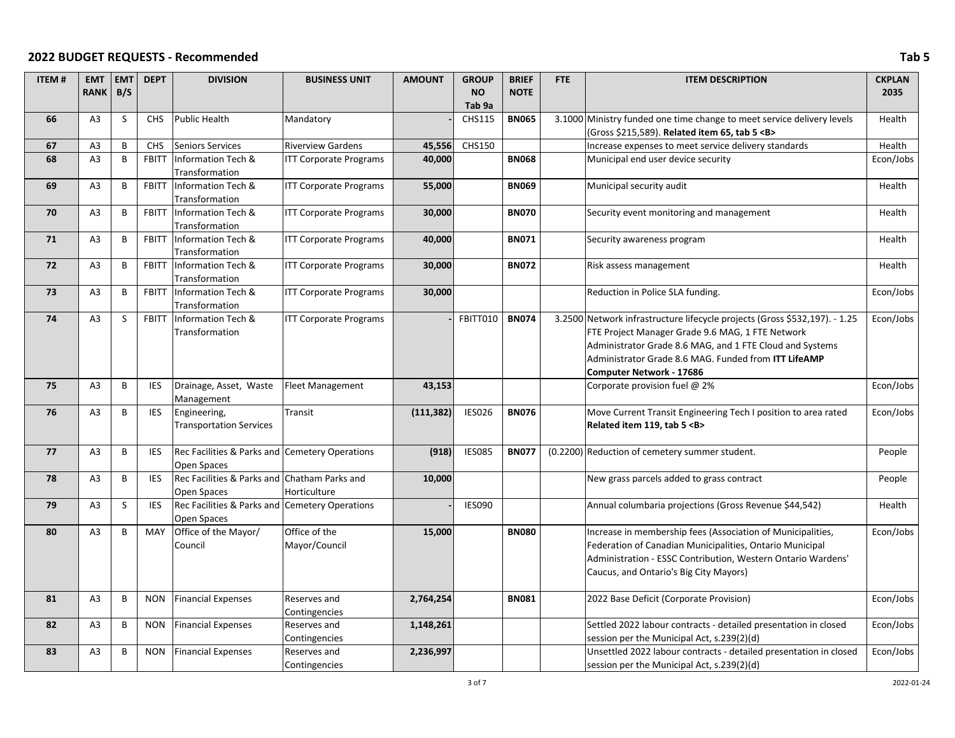| <b>ITEM#</b> | <b>EMT</b>     | <b>EMT</b>   | <b>DEPT</b>  | <b>DIVISION</b>                                             | <b>BUSINESS UNIT</b>          | <b>AMOUNT</b> | <b>GROUP</b>      | <b>BRIEF</b> | <b>FTE</b> | <b>ITEM DESCRIPTION</b>                                                    | <b>CKPLAN</b> |
|--------------|----------------|--------------|--------------|-------------------------------------------------------------|-------------------------------|---------------|-------------------|--------------|------------|----------------------------------------------------------------------------|---------------|
|              | <b>RANK</b>    | B/S          |              |                                                             |                               |               | NO                | <b>NOTE</b>  |            |                                                                            | 2035          |
|              |                |              |              |                                                             |                               |               | Tab <sub>9a</sub> |              |            |                                                                            |               |
| 66           | A <sub>3</sub> | <sub>S</sub> | <b>CHS</b>   | Public Health                                               | Mandatory                     |               | <b>CHS115</b>     | <b>BN065</b> |            | 3.1000 Ministry funded one time change to meet service delivery levels     | Health        |
|              |                |              |              |                                                             |                               |               |                   |              |            | (Gross \$215,589). Related item 65, tab 5 <b></b>                          |               |
| 67           | A <sub>3</sub> | B            | <b>CHS</b>   | <b>Seniors Services</b>                                     | <b>Riverview Gardens</b>      | 45,556        | CHS150            |              |            | Increase expenses to meet service delivery standards                       | Health        |
| 68           | A3             | B            | <b>FBITT</b> | Information Tech &                                          | <b>ITT Corporate Programs</b> | 40,000        |                   | <b>BN068</b> |            | Municipal end user device security                                         | Econ/Jobs     |
|              |                |              |              | Transformation                                              |                               |               |                   |              |            |                                                                            |               |
| 69           | A <sub>3</sub> | B            | <b>FBITT</b> | Information Tech &<br>Transformation                        | <b>ITT Corporate Programs</b> | 55,000        |                   | <b>BN069</b> |            | Municipal security audit                                                   | Health        |
| 70           | A <sub>3</sub> | B            | <b>FBITT</b> | Information Tech &<br>Transformation                        | <b>ITT Corporate Programs</b> | 30,000        |                   | <b>BN070</b> |            | Security event monitoring and management                                   | Health        |
| 71           | A <sub>3</sub> | B            | <b>FBITT</b> | Information Tech &                                          | <b>ITT Corporate Programs</b> | 40,000        |                   | <b>BN071</b> |            | Security awareness program                                                 | Health        |
|              |                |              |              | Transformation                                              |                               |               |                   |              |            |                                                                            |               |
| 72           | A <sub>3</sub> | B            | <b>FBITT</b> | Information Tech &                                          | <b>ITT Corporate Programs</b> | 30,000        |                   | <b>BN072</b> |            | Risk assess management                                                     | Health        |
|              |                |              |              | Transformation                                              |                               |               |                   |              |            |                                                                            |               |
| 73           | A <sub>3</sub> | B            | <b>FBITT</b> | Information Tech &                                          | <b>ITT Corporate Programs</b> | 30,000        |                   |              |            | Reduction in Police SLA funding.                                           | Econ/Jobs     |
|              |                |              |              | Transformation                                              |                               |               |                   |              |            |                                                                            |               |
| 74           | A <sub>3</sub> | $\mathsf{S}$ | <b>FBITT</b> | Information Tech &                                          | <b>ITT Corporate Programs</b> |               | <b>FBITT010</b>   | <b>BN074</b> |            | 3.2500 Network infrastructure lifecycle projects (Gross \$532,197). - 1.25 | Econ/Jobs     |
|              |                |              |              | Transformation                                              |                               |               |                   |              |            | FTE Project Manager Grade 9.6 MAG, 1 FTE Network                           |               |
|              |                |              |              |                                                             |                               |               |                   |              |            | Administrator Grade 8.6 MAG, and 1 FTE Cloud and Systems                   |               |
|              |                |              |              |                                                             |                               |               |                   |              |            | Administrator Grade 8.6 MAG. Funded from ITT LifeAMP                       |               |
|              |                |              |              |                                                             |                               |               |                   |              |            | <b>Computer Network - 17686</b>                                            |               |
| 75           | A <sub>3</sub> | B            | <b>IES</b>   | Drainage, Asset, Waste<br>Management                        | <b>Fleet Management</b>       | 43,153        |                   |              |            | Corporate provision fuel @ 2%                                              | Econ/Jobs     |
| 76           | A <sub>3</sub> | B            | <b>IES</b>   | Engineering,                                                | Transit                       | (111, 382)    | <b>IES026</b>     | <b>BN076</b> |            | Move Current Transit Engineering Tech I position to area rated             | Econ/Jobs     |
|              |                |              |              | <b>Transportation Services</b>                              |                               |               |                   |              |            | Related item 119, tab 5 <b></b>                                            |               |
|              |                |              |              |                                                             |                               |               |                   |              |            |                                                                            |               |
| 77           | A <sub>3</sub> | B            | <b>IES</b>   | Rec Facilities & Parks and Cemetery Operations              |                               | (918)         | <b>IES085</b>     | <b>BN077</b> |            | (0.2200) Reduction of cemetery summer student.                             | People        |
| 78           | A <sub>3</sub> | B            | <b>IES</b>   | Open Spaces<br>Rec Facilities & Parks and Chatham Parks and |                               |               |                   |              |            | New grass parcels added to grass contract                                  | People        |
|              |                |              |              | Open Spaces                                                 | Horticulture                  | 10,000        |                   |              |            |                                                                            |               |
| 79           | A <sub>3</sub> | S            | <b>IES</b>   | Rec Facilities & Parks and Cemetery Operations              |                               |               | <b>IES090</b>     |              |            | Annual columbaria projections (Gross Revenue \$44,542)                     | Health        |
|              |                |              |              | Open Spaces                                                 |                               |               |                   |              |            |                                                                            |               |
| 80           | A <sub>3</sub> | B            | MAY          | Office of the Mayor/                                        | Office of the                 | 15,000        |                   | <b>BN080</b> |            | Increase in membership fees (Association of Municipalities,                | Econ/Jobs     |
|              |                |              |              | Council                                                     | Mayor/Council                 |               |                   |              |            | Federation of Canadian Municipalities, Ontario Municipal                   |               |
|              |                |              |              |                                                             |                               |               |                   |              |            | Administration - ESSC Contribution, Western Ontario Wardens'               |               |
|              |                |              |              |                                                             |                               |               |                   |              |            | Caucus, and Ontario's Big City Mayors)                                     |               |
| 81           | A <sub>3</sub> | B            | <b>NON</b>   | <b>Financial Expenses</b>                                   | Reserves and                  | 2,764,254     |                   | <b>BN081</b> |            | 2022 Base Deficit (Corporate Provision)                                    | Econ/Jobs     |
|              |                |              |              |                                                             | Contingencies                 |               |                   |              |            |                                                                            |               |
| 82           | A <sub>3</sub> | B            | <b>NON</b>   | <b>Financial Expenses</b>                                   | Reserves and                  | 1,148,261     |                   |              |            | Settled 2022 labour contracts - detailed presentation in closed            | Econ/Jobs     |
|              |                |              |              |                                                             | Contingencies                 |               |                   |              |            | session per the Municipal Act, s.239(2)(d)                                 |               |
| 83           | A <sub>3</sub> | B            | <b>NON</b>   | <b>Financial Expenses</b>                                   | Reserves and                  | 2,236,997     |                   |              |            | Unsettled 2022 labour contracts - detailed presentation in closed          | Econ/Jobs     |
|              |                |              |              |                                                             | Contingencies                 |               |                   |              |            | session per the Municipal Act, s.239(2)(d)                                 |               |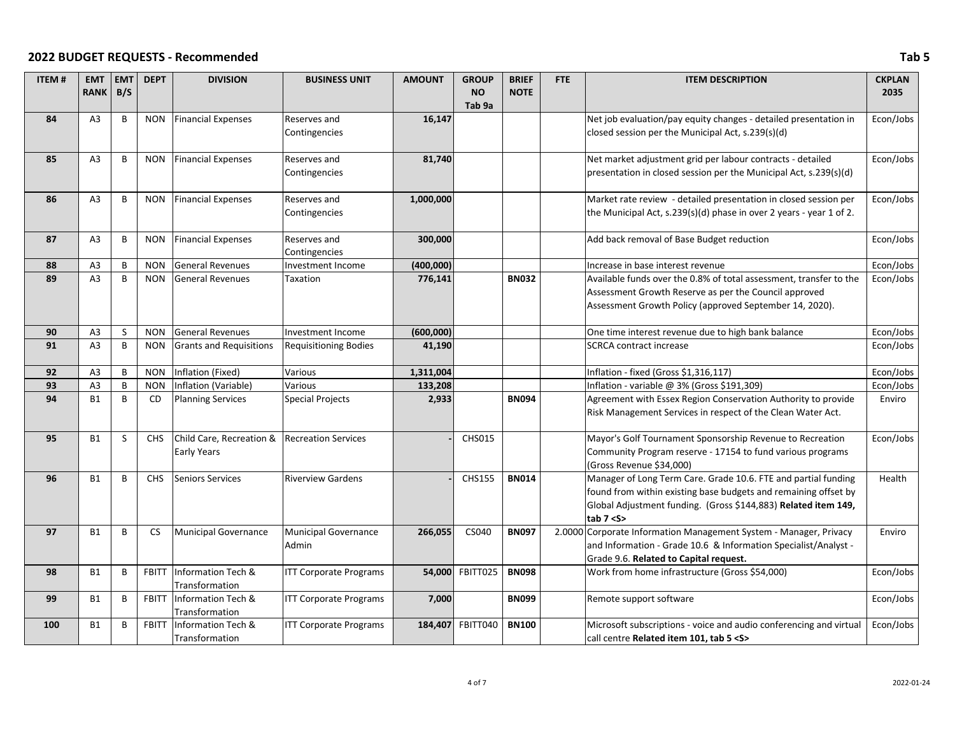| <b>ITEM#</b> | <b>EMT</b><br><b>RANK</b> | <b>EMT</b><br>B/S | <b>DEPT</b>  | <b>DIVISION</b>                                | <b>BUSINESS UNIT</b>                 | <b>AMOUNT</b> | <b>GROUP</b><br><b>NO</b><br>Tab <sub>9a</sub> | <b>BRIEF</b><br><b>NOTE</b> | <b>FTE</b> | <b>ITEM DESCRIPTION</b>                                                                                                                                                                                            | <b>CKPLAN</b><br>2035 |
|--------------|---------------------------|-------------------|--------------|------------------------------------------------|--------------------------------------|---------------|------------------------------------------------|-----------------------------|------------|--------------------------------------------------------------------------------------------------------------------------------------------------------------------------------------------------------------------|-----------------------|
| 84           | A <sub>3</sub>            | B                 | <b>NON</b>   | <b>Financial Expenses</b>                      | Reserves and<br>Contingencies        | 16,147        |                                                |                             |            | Net job evaluation/pay equity changes - detailed presentation in<br>closed session per the Municipal Act, s.239(s)(d)                                                                                              | Econ/Jobs             |
| 85           | A <sub>3</sub>            | B                 | <b>NON</b>   | <b>Financial Expenses</b>                      | <b>Reserves</b> and<br>Contingencies | 81,740        |                                                |                             |            | Net market adjustment grid per labour contracts - detailed<br>presentation in closed session per the Municipal Act, s.239(s)(d)                                                                                    | Econ/Jobs             |
| 86           | A <sub>3</sub>            | B                 | <b>NON</b>   | <b>Financial Expenses</b>                      | <b>Reserves and</b><br>Contingencies | 1,000,000     |                                                |                             |            | Market rate review - detailed presentation in closed session per<br>the Municipal Act, s.239(s)(d) phase in over 2 years - year 1 of 2.                                                                            | Econ/Jobs             |
| 87           | A <sub>3</sub>            | $\sf{B}$          | <b>NON</b>   | <b>Financial Expenses</b>                      | Reserves and<br>Contingencies        | 300,000       |                                                |                             |            | Add back removal of Base Budget reduction                                                                                                                                                                          | Econ/Jobs             |
| 88           | A <sub>3</sub>            | B                 | <b>NON</b>   | <b>General Revenues</b>                        | Investment Income                    | (400,000)     |                                                |                             |            | Increase in base interest revenue                                                                                                                                                                                  | Econ/Jobs             |
| 89           | A <sub>3</sub>            | B                 | <b>NON</b>   | <b>General Revenues</b>                        | Taxation                             | 776,141       |                                                | <b>BN032</b>                |            | Available funds over the 0.8% of total assessment, transfer to the<br>Assessment Growth Reserve as per the Council approved<br>Assessment Growth Policy (approved September 14, 2020).                             | Econ/Jobs             |
| 90           | A <sub>3</sub>            | S                 | <b>NON</b>   | <b>General Revenues</b>                        | Investment Income                    | (600,000)     |                                                |                             |            | One time interest revenue due to high bank balance                                                                                                                                                                 | Econ/Jobs             |
| 91           | A <sub>3</sub>            | B                 | <b>NON</b>   | <b>Grants and Requisitions</b>                 | Requisitioning Bodies                | 41,190        |                                                |                             |            | <b>SCRCA contract increase</b>                                                                                                                                                                                     | Econ/Jobs             |
| 92           | A <sub>3</sub>            | B                 | <b>NON</b>   | Inflation (Fixed)                              | Various                              | 1,311,004     |                                                |                             |            | Inflation - fixed (Gross \$1,316,117)                                                                                                                                                                              | Econ/Jobs             |
| 93           | A3                        | $\,$ B            | <b>NON</b>   | Inflation (Variable)                           | Various                              | 133,208       |                                                |                             |            | Inflation - variable @ 3% (Gross \$191,309)                                                                                                                                                                        | Econ/Jobs             |
| 94           | <b>B1</b>                 | B                 | CD           | <b>Planning Services</b>                       | Special Projects                     | 2,933         |                                                | <b>BN094</b>                |            | Agreement with Essex Region Conservation Authority to provide<br>Risk Management Services in respect of the Clean Water Act.                                                                                       | Enviro                |
| 95           | <b>B1</b>                 | S                 | <b>CHS</b>   | Child Care, Recreation &<br><b>Early Years</b> | <b>Recreation Services</b>           |               | <b>CHS015</b>                                  |                             |            | Mayor's Golf Tournament Sponsorship Revenue to Recreation<br>Community Program reserve - 17154 to fund various programs<br>(Gross Revenue \$34,000)                                                                | Econ/Jobs             |
| 96           | <b>B1</b>                 | B                 | <b>CHS</b>   | <b>Seniors Services</b>                        | <b>Riverview Gardens</b>             |               | <b>CHS155</b>                                  | <b>BN014</b>                |            | Manager of Long Term Care. Grade 10.6. FTE and partial funding<br>found from within existing base budgets and remaining offset by<br>Global Adjustment funding. (Gross \$144,883) Related item 149,<br>tab $7 < S$ | Health                |
| 97           | <b>B1</b>                 | B                 | <b>CS</b>    | Municipal Governance                           | Municipal Governance<br>Admin        | 266,055       | CS040                                          | <b>BN097</b>                |            | 2.0000 Corporate Information Management System - Manager, Privacy<br>and Information - Grade 10.6 & Information Specialist/Analyst -<br>Grade 9.6. Related to Capital request.                                     | Enviro                |
| 98           | <b>B1</b>                 | B                 | <b>FBITT</b> | Information Tech &<br>Transformation           | <b>ITT Corporate Programs</b>        | 54,000        | FBITT025                                       | <b>BN098</b>                |            | Work from home infrastructure (Gross \$54,000)                                                                                                                                                                     | Econ/Jobs             |
| 99           | <b>B1</b>                 | B                 | <b>FBITT</b> | Information Tech &<br>Transformation           | <b>ITT Corporate Programs</b>        | 7,000         |                                                | <b>BN099</b>                |            | Remote support software                                                                                                                                                                                            | Econ/Jobs             |
| 100          | <b>B1</b>                 | B                 | <b>FBITT</b> | Information Tech &<br>Transformation           | <b>ITT Corporate Programs</b>        |               | 184,407 FBITT040                               | <b>BN100</b>                |            | Microsoft subscriptions - voice and audio conferencing and virtual<br>call centre Related item 101. tab 5 <s></s>                                                                                                  | Econ/Jobs             |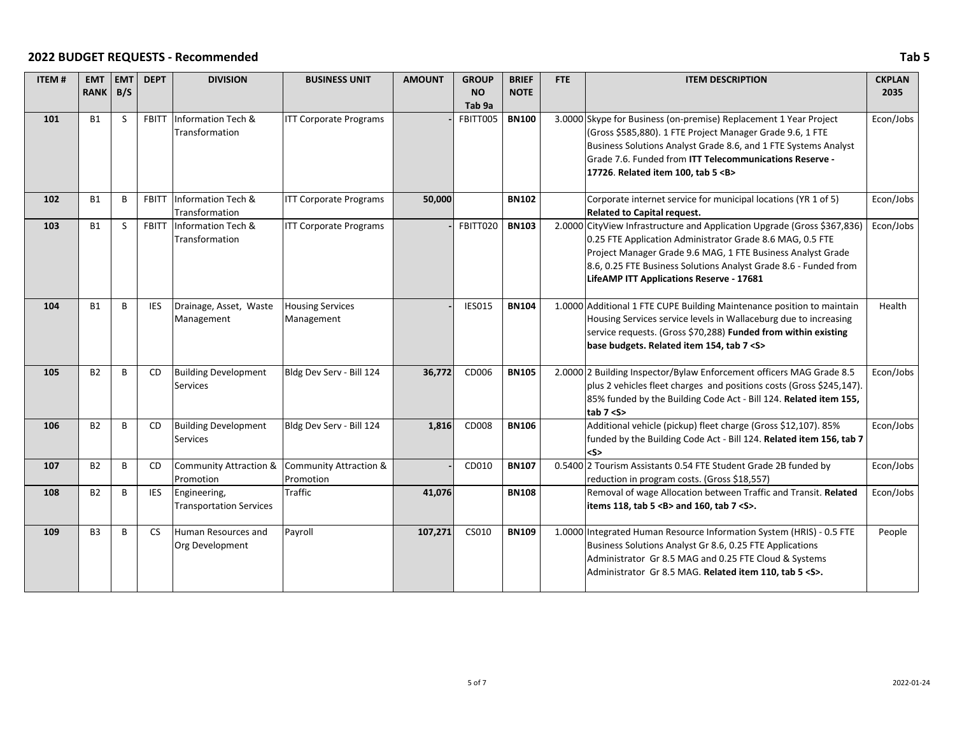| <b>ITEM#</b> | <b>EMT</b>     | <b>EMT</b> | <b>DEPT</b>  | <b>DIVISION</b>                               | <b>BUSINESS UNIT</b>          | <b>AMOUNT</b> | <b>GROUP</b>  | <b>BRIEF</b> | FTE | <b>ITEM DESCRIPTION</b>                                                                                       | <b>CKPLAN</b> |
|--------------|----------------|------------|--------------|-----------------------------------------------|-------------------------------|---------------|---------------|--------------|-----|---------------------------------------------------------------------------------------------------------------|---------------|
|              | <b>RANK</b>    | B/S        |              |                                               |                               |               | <b>NO</b>     | <b>NOTE</b>  |     |                                                                                                               | 2035          |
|              |                |            |              |                                               |                               |               | Tab 9a        |              |     |                                                                                                               |               |
| 101          | <b>B1</b>      | S          | <b>FBITT</b> | Information Tech &                            | <b>ITT Corporate Programs</b> |               | FBITT005      | <b>BN100</b> |     | 3.0000 Skype for Business (on-premise) Replacement 1 Year Project                                             | Econ/Jobs     |
|              |                |            |              | Transformation                                |                               |               |               |              |     | (Gross \$585,880). 1 FTE Project Manager Grade 9.6, 1 FTE                                                     |               |
|              |                |            |              |                                               |                               |               |               |              |     | Business Solutions Analyst Grade 8.6, and 1 FTE Systems Analyst                                               |               |
|              |                |            |              |                                               |                               |               |               |              |     | Grade 7.6. Funded from ITT Telecommunications Reserve -                                                       |               |
|              |                |            |              |                                               |                               |               |               |              |     | 17726. Related item 100, tab 5 <b></b>                                                                        |               |
| 102          | <b>B1</b>      | B          | <b>FBITT</b> | Information Tech &                            | <b>ITT Corporate Programs</b> | 50,000        |               | <b>BN102</b> |     | Corporate internet service for municipal locations (YR 1 of 5)                                                | Econ/Jobs     |
|              |                |            |              | Transformation                                |                               |               |               |              |     | Related to Capital request.                                                                                   |               |
| 103          | <b>B1</b>      | S          | <b>FBITT</b> | Information Tech &                            | <b>ITT Corporate Programs</b> |               | FBITT020      | <b>BN103</b> |     | 2.0000 CityView Infrastructure and Application Upgrade (Gross \$367,836)                                      | Econ/Jobs     |
|              |                |            |              | Transformation                                |                               |               |               |              |     | 0.25 FTE Application Administrator Grade 8.6 MAG, 0.5 FTE                                                     |               |
|              |                |            |              |                                               |                               |               |               |              |     | Project Manager Grade 9.6 MAG, 1 FTE Business Analyst Grade                                                   |               |
|              |                |            |              |                                               |                               |               |               |              |     | 8.6, 0.25 FTE Business Solutions Analyst Grade 8.6 - Funded from                                              |               |
|              |                |            |              |                                               |                               |               |               |              |     | LifeAMP ITT Applications Reserve - 17681                                                                      |               |
|              |                |            |              |                                               |                               |               |               |              |     |                                                                                                               |               |
| 104          | <b>B1</b>      | B          | <b>IES</b>   | Drainage, Asset, Waste                        | <b>Housing Services</b>       |               | <b>IES015</b> | <b>BN104</b> |     | 1.0000 Additional 1 FTE CUPE Building Maintenance position to maintain                                        | Health        |
|              |                |            |              | Management                                    | Management                    |               |               |              |     | Housing Services service levels in Wallaceburg due to increasing                                              |               |
|              |                |            |              |                                               |                               |               |               |              |     | service requests. (Gross \$70,288) Funded from within existing                                                |               |
|              |                |            |              |                                               |                               |               |               |              |     | base budgets. Related item 154, tab 7 < S>                                                                    |               |
|              |                |            |              |                                               |                               |               |               |              |     |                                                                                                               |               |
| 105          | <b>B2</b>      | B          | <b>CD</b>    | <b>Building Development</b>                   | Bldg Dev Serv - Bill 124      | 36,772        | CD006         | <b>BN105</b> |     | 2.0000 2 Building Inspector/Bylaw Enforcement officers MAG Grade 8.5                                          | Econ/Jobs     |
|              |                |            |              | Services                                      |                               |               |               |              |     | plus 2 vehicles fleet charges and positions costs (Gross \$245,147).                                          |               |
|              |                |            |              |                                               |                               |               |               |              |     | 85% funded by the Building Code Act - Bill 124. Related item 155,                                             |               |
|              |                |            |              |                                               |                               |               |               |              |     | tab 7 < S>                                                                                                    |               |
| 106          | <b>B2</b>      | B          | <b>CD</b>    | <b>Building Development</b>                   | Bldg Dev Serv - Bill 124      | 1,816         | CD008         | <b>BN106</b> |     | Additional vehicle (pickup) fleet charge (Gross \$12,107). 85%                                                | Econ/Jobs     |
|              |                |            |              | <b>Services</b>                               |                               |               |               |              |     | funded by the Building Code Act - Bill 124. Related item 156, tab 7                                           |               |
|              |                |            |              |                                               |                               |               |               |              |     | $<$ S>                                                                                                        |               |
| 107          | <b>B2</b>      | B          | <b>CD</b>    | Community Attraction & Community Attraction & |                               |               | CD010         | <b>BN107</b> |     | 0.5400 2 Tourism Assistants 0.54 FTE Student Grade 2B funded by                                               | Econ/Jobs     |
|              |                | B          |              | Promotion                                     | Promotion<br><b>Traffic</b>   |               |               |              |     | reduction in program costs. (Gross \$18,557)                                                                  |               |
| 108          | <b>B2</b>      |            | <b>IES</b>   | Engineering,                                  |                               | 41,076        |               | <b>BN108</b> |     | Removal of wage Allocation between Traffic and Transit. Related<br>items 118, tab 5 < B> and 160, tab 7 < S>. | Econ/Jobs     |
|              |                |            |              | <b>Transportation Services</b>                |                               |               |               |              |     |                                                                                                               |               |
| 109          | B <sub>3</sub> | B          | <b>CS</b>    | Human Resources and                           | Payroll                       | 107,271       | CS010         | <b>BN109</b> |     | 1.0000 Integrated Human Resource Information System (HRIS) - 0.5 FTE                                          | People        |
|              |                |            |              | Org Development                               |                               |               |               |              |     | Business Solutions Analyst Gr 8.6, 0.25 FTE Applications                                                      |               |
|              |                |            |              |                                               |                               |               |               |              |     | Administrator Gr 8.5 MAG and 0.25 FTE Cloud & Systems                                                         |               |
|              |                |            |              |                                               |                               |               |               |              |     | Administrator Gr 8.5 MAG. Related item 110, tab 5 <s>.</s>                                                    |               |
|              |                |            |              |                                               |                               |               |               |              |     |                                                                                                               |               |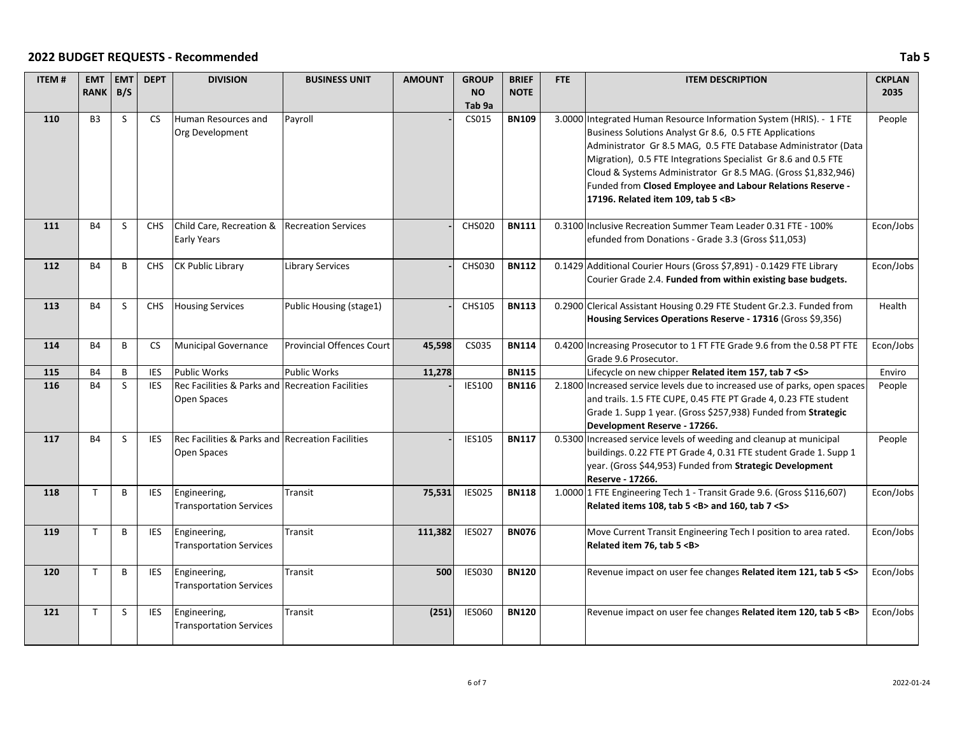| <b>ITEM#</b> | <b>EMT</b><br>RANK B/S | <b>EMT</b>   | <b>DEPT</b> | <b>DIVISION</b>                                                 | <b>BUSINESS UNIT</b>             | <b>AMOUNT</b> | <b>GROUP</b><br><b>NO</b> | <b>BRIEF</b><br><b>NOTE</b> | <b>FTE</b> | <b>ITEM DESCRIPTION</b>                                                                                                                                                                                                                                                                                                                                                                                                                     | <b>CKPLAN</b><br>2035 |
|--------------|------------------------|--------------|-------------|-----------------------------------------------------------------|----------------------------------|---------------|---------------------------|-----------------------------|------------|---------------------------------------------------------------------------------------------------------------------------------------------------------------------------------------------------------------------------------------------------------------------------------------------------------------------------------------------------------------------------------------------------------------------------------------------|-----------------------|
|              |                        |              |             |                                                                 |                                  |               | Tab <sub>9a</sub>         |                             |            |                                                                                                                                                                                                                                                                                                                                                                                                                                             |                       |
| 110          | B <sub>3</sub>         | S            | <b>CS</b>   | Human Resources and<br>Org Development                          | Payroll                          |               | CS015                     | <b>BN109</b>                |            | 3.0000 Integrated Human Resource Information System (HRIS). - 1 FTE<br>Business Solutions Analyst Gr 8.6, 0.5 FTE Applications<br>Administrator Gr 8.5 MAG, 0.5 FTE Database Administrator (Data<br>Migration), 0.5 FTE Integrations Specialist Gr 8.6 and 0.5 FTE<br>Cloud & Systems Administrator Gr 8.5 MAG. (Gross \$1,832,946)<br>Funded from Closed Employee and Labour Relations Reserve -<br>17196. Related item 109, tab 5 <b></b> | People                |
| 111          | <b>B4</b>              | <sub>S</sub> | <b>CHS</b>  | Child Care, Recreation &<br>Early Years                         | <b>Recreation Services</b>       |               | <b>CHS020</b>             | <b>BN111</b>                |            | 0.3100 Inclusive Recreation Summer Team Leader 0.31 FTE - 100%<br>efunded from Donations - Grade 3.3 (Gross \$11,053)                                                                                                                                                                                                                                                                                                                       | Econ/Jobs             |
| 112          | <b>B4</b>              | B            | <b>CHS</b>  | <b>CK Public Library</b>                                        | <b>Library Services</b>          |               | <b>CHS030</b>             | <b>BN112</b>                |            | 0.1429 Additional Courier Hours (Gross \$7,891) - 0.1429 FTE Library<br>Courier Grade 2.4. Funded from within existing base budgets.                                                                                                                                                                                                                                                                                                        | Econ/Jobs             |
| 113          | <b>B4</b>              | S            | <b>CHS</b>  | <b>Housing Services</b>                                         | Public Housing (stage1)          |               | CHS105                    | <b>BN113</b>                |            | 0.2900 Clerical Assistant Housing 0.29 FTE Student Gr.2.3. Funded from<br>Housing Services Operations Reserve - 17316 (Gross \$9,356)                                                                                                                                                                                                                                                                                                       | Health                |
| 114          | <b>B4</b>              | B            | <b>CS</b>   | <b>Municipal Governance</b>                                     | <b>Provincial Offences Court</b> | 45,598        | CS035                     | <b>BN114</b>                |            | 0.4200 Increasing Prosecutor to 1 FT FTE Grade 9.6 from the 0.58 PT FTE<br>Grade 9.6 Prosecutor.                                                                                                                                                                                                                                                                                                                                            | Econ/Jobs             |
| 115          | <b>B4</b>              | B            | <b>IES</b>  | <b>Public Works</b>                                             | <b>Public Works</b>              | 11,278        |                           | <b>BN115</b>                |            | Lifecycle on new chipper Related item 157, tab 7 <s></s>                                                                                                                                                                                                                                                                                                                                                                                    | Enviro                |
| 116          | <b>B4</b>              | <sub>S</sub> | <b>IES</b>  | Rec Facilities & Parks and Recreation Facilities<br>Open Spaces |                                  |               | <b>IES100</b>             | <b>BN116</b>                |            | 2.1800 Increased service levels due to increased use of parks, open spaces<br>and trails. 1.5 FTE CUPE, 0.45 FTE PT Grade 4, 0.23 FTE student<br>Grade 1. Supp 1 year. (Gross \$257,938) Funded from Strategic<br>Development Reserve - 17266.                                                                                                                                                                                              | People                |
| 117          | <b>B4</b>              | <sub>S</sub> | <b>IES</b>  | Rec Facilities & Parks and Recreation Facilities<br>Open Spaces |                                  |               | <b>IES105</b>             | <b>BN117</b>                |            | 0.5300 Increased service levels of weeding and cleanup at municipal<br>buildings. 0.22 FTE PT Grade 4, 0.31 FTE student Grade 1. Supp 1<br>year. (Gross \$44,953) Funded from Strategic Development<br>Reserve - 17266.                                                                                                                                                                                                                     | People                |
| 118          | $\mathsf{T}$           | B            | <b>IES</b>  | Engineering,<br><b>Transportation Services</b>                  | Transit                          | 75,531        | <b>IES025</b>             | <b>BN118</b>                |            | 1.0000 1 FTE Engineering Tech 1 - Transit Grade 9.6. (Gross \$116,607)<br>Related items 108, tab 5 < B> and 160, tab 7 < S>                                                                                                                                                                                                                                                                                                                 | Econ/Jobs             |
| 119          | T                      | B            | <b>IES</b>  | Engineering,<br><b>Transportation Services</b>                  | Transit                          | 111,382       | <b>IES027</b>             | <b>BN076</b>                |            | Move Current Transit Engineering Tech I position to area rated.<br>Related item 76, tab 5 <b></b>                                                                                                                                                                                                                                                                                                                                           | Econ/Jobs             |
| 120          | $\mathsf{T}$           | B            | <b>IES</b>  | Engineering,<br><b>Transportation Services</b>                  | Transit                          | 500           | <b>IES030</b>             | <b>BN120</b>                |            | Revenue impact on user fee changes Related item 121, tab 5 < S>                                                                                                                                                                                                                                                                                                                                                                             | Econ/Jobs             |
| 121          | $\mathsf{T}$           | <sub>S</sub> | <b>IES</b>  | Engineering,<br><b>Transportation Services</b>                  | Transit                          | (251)         | <b>IES060</b>             | <b>BN120</b>                |            | Revenue impact on user fee changes Related item 120, tab 5 <b></b>                                                                                                                                                                                                                                                                                                                                                                          | Econ/Jobs             |